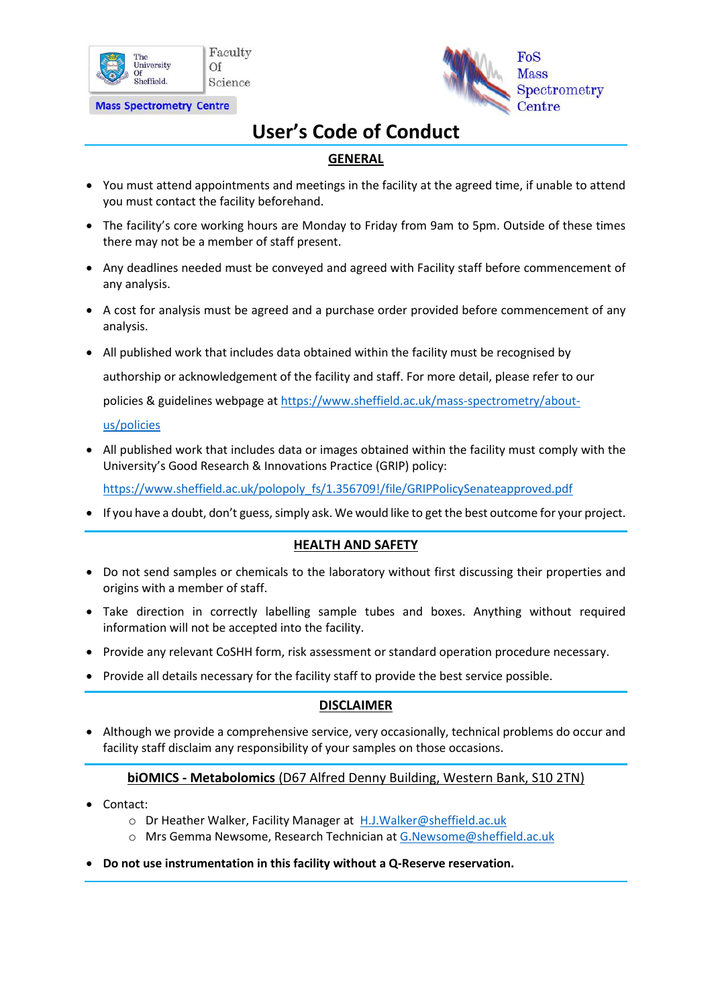

**Mass Spectrometry Centre** 



# **User's Code of Conduct**

## **GENERAL**

- You must attend appointments and meetings in the facility at the agreed time, if unable to attend you must contact the facility beforehand.
- The facility's core working hours are Monday to Friday from 9am to 5pm. Outside of these times there may not be a member of staff present.
- Any deadlines needed must be conveyed and agreed with Facility staff before commencement of any analysis.
- A cost for analysis must be agreed and a purchase order provided before commencement of any analysis.
- All published work that includes data obtained within the facility must be recognised by

authorship or acknowledgement of the facility and staff. For more detail, please refer to our

policies & guidelines webpage at [https://www.sheffield.ac.uk/mass-spectrometry/about-](https://www.sheffield.ac.uk/mass-spectrometry/about-us/policies)

[us/policies](https://www.sheffield.ac.uk/mass-spectrometry/about-us/policies)

• All published work that includes data or images obtained within the facility must comply with the University's Good Research & Innovations Practice (GRIP) policy:

[https://www.sheffield.ac.uk/polopoly\\_fs/1.356709!/file/GRIPPolicySenateapproved.pdf](https://www.sheffield.ac.uk/polopoly_fs/1.356709!/file/GRIPPolicySenateapproved.pdf)

• If you have a doubt, don't guess, simply ask. We would like to get the best outcome for your project.

### **HEALTH AND SAFETY**

- Do not send samples or chemicals to the laboratory without first discussing their properties and origins with a member of staff.
- Take direction in correctly labelling sample tubes and boxes. Anything without required information will not be accepted into the facility.
- Provide any relevant CoSHH form, risk assessment or standard operation procedure necessary.
- Provide all details necessary for the facility staff to provide the best service possible.

### **DISCLAIMER**

• Although we provide a comprehensive service, very occasionally, technical problems do occur and facility staff disclaim any responsibility of your samples on those occasions.

### **biOMICS - Metabolomics** (D67 Alfred Denny Building, Western Bank, S10 2TN)

- Contact:
	- o Dr Heather Walker, Facility Manager at [H.J.Walker@sheffield.ac.uk](mailto:H.J.Walker@sheffield.ac.uk)
	- o Mrs Gemma Newsome, Research Technician a[t G.Newsome@sheffield.ac.uk](mailto:G.Newsome@sheffield.ac.uk)
- **Do not use instrumentation in this facility without a Q-Reserve reservation.**